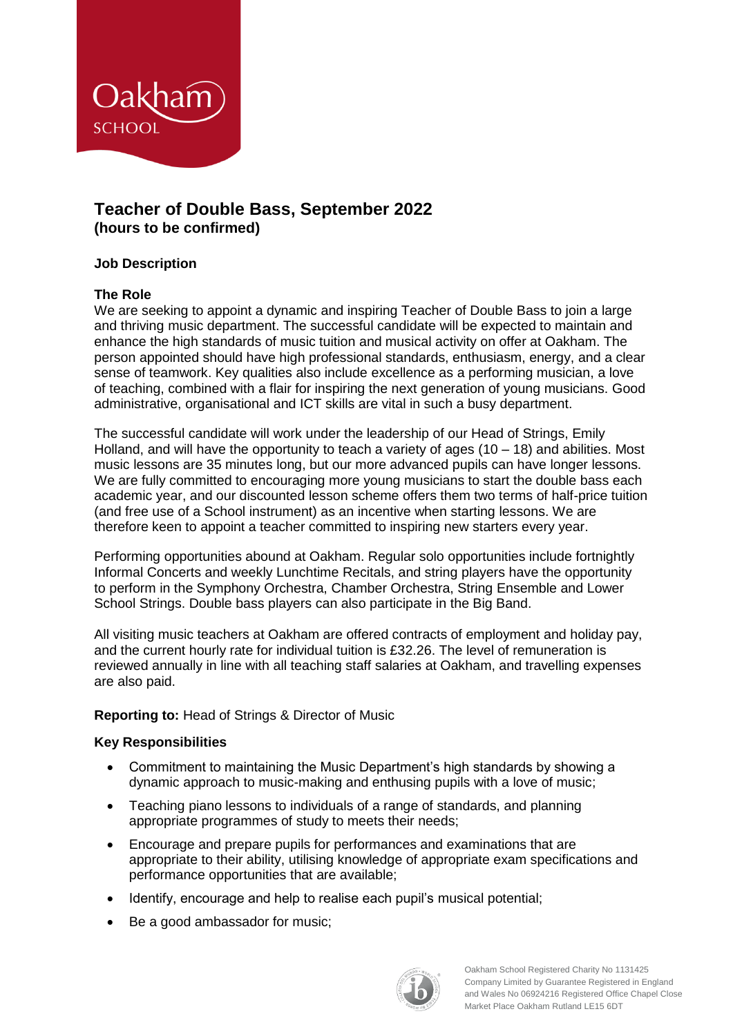

# **Teacher of Double Bass, September 2022 (hours to be confirmed)**

## **Job Description**

## **The Role**

We are seeking to appoint a dynamic and inspiring Teacher of Double Bass to join a large and thriving music department. The successful candidate will be expected to maintain and enhance the high standards of music tuition and musical activity on offer at Oakham. The person appointed should have high professional standards, enthusiasm, energy, and a clear sense of teamwork. Key qualities also include excellence as a performing musician, a love of teaching, combined with a flair for inspiring the next generation of young musicians. Good administrative, organisational and ICT skills are vital in such a busy department.

The successful candidate will work under the leadership of our Head of Strings, Emily Holland, and will have the opportunity to teach a variety of ages  $(10 - 18)$  and abilities. Most music lessons are 35 minutes long, but our more advanced pupils can have longer lessons. We are fully committed to encouraging more young musicians to start the double bass each academic year, and our discounted lesson scheme offers them two terms of half-price tuition (and free use of a School instrument) as an incentive when starting lessons. We are therefore keen to appoint a teacher committed to inspiring new starters every year.

Performing opportunities abound at Oakham. Regular solo opportunities include fortnightly Informal Concerts and weekly Lunchtime Recitals, and string players have the opportunity to perform in the Symphony Orchestra, Chamber Orchestra, String Ensemble and Lower School Strings. Double bass players can also participate in the Big Band.

All visiting music teachers at Oakham are offered contracts of employment and holiday pay, and the current hourly rate for individual tuition is £32.26. The level of remuneration is reviewed annually in line with all teaching staff salaries at Oakham, and travelling expenses are also paid.

# **Reporting to:** Head of Strings & Director of Music

### **Key Responsibilities**

- Commitment to maintaining the Music Department's high standards by showing a dynamic approach to music-making and enthusing pupils with a love of music;
- Teaching piano lessons to individuals of a range of standards, and planning appropriate programmes of study to meets their needs;
- Encourage and prepare pupils for performances and examinations that are appropriate to their ability, utilising knowledge of appropriate exam specifications and performance opportunities that are available;
- Identify, encourage and help to realise each pupil's musical potential;
- Be a good ambassador for music;

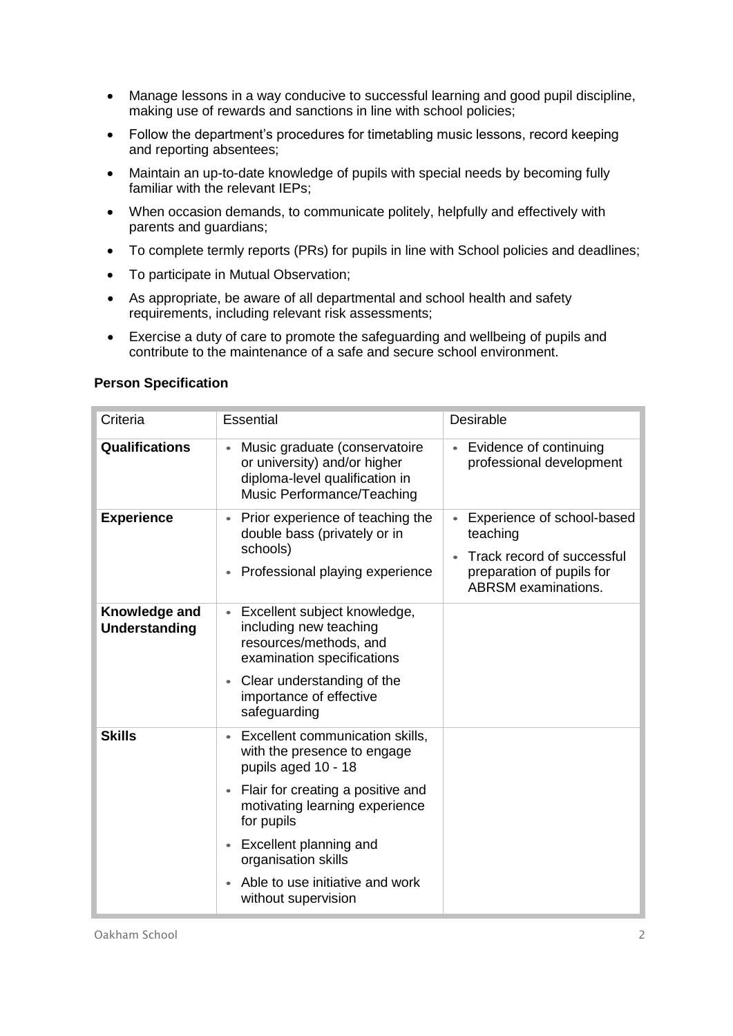- Manage lessons in a way conducive to successful learning and good pupil discipline, making use of rewards and sanctions in line with school policies;
- Follow the department's procedures for timetabling music lessons, record keeping and reporting absentees;
- Maintain an up-to-date knowledge of pupils with special needs by becoming fully familiar with the relevant IEPs;
- When occasion demands, to communicate politely, helpfully and effectively with parents and guardians;
- To complete termly reports (PRs) for pupils in line with School policies and deadlines;
- To participate in Mutual Observation;
- As appropriate, be aware of all departmental and school health and safety requirements, including relevant risk assessments;
- Exercise a duty of care to promote the safeguarding and wellbeing of pupils and contribute to the maintenance of a safe and secure school environment.

### **Person Specification**

| Criteria                              | <b>Essential</b>                                                                                                                                                                                                                                                                                                | Desirable                                                                                                                       |
|---------------------------------------|-----------------------------------------------------------------------------------------------------------------------------------------------------------------------------------------------------------------------------------------------------------------------------------------------------------------|---------------------------------------------------------------------------------------------------------------------------------|
| <b>Qualifications</b>                 | Music graduate (conservatoire<br>or university) and/or higher<br>diploma-level qualification in<br>Music Performance/Teaching                                                                                                                                                                                   | • Evidence of continuing<br>professional development                                                                            |
| <b>Experience</b>                     | Prior experience of teaching the<br>double bass (privately or in<br>schools)<br>Professional playing experience                                                                                                                                                                                                 | Experience of school-based<br>teaching<br>Track record of successful<br>preparation of pupils for<br><b>ABRSM</b> examinations. |
| Knowledge and<br><b>Understanding</b> | Excellent subject knowledge,<br>including new teaching<br>resources/methods, and<br>examination specifications<br>Clear understanding of the<br>$\bullet$<br>importance of effective<br>safeguarding                                                                                                            |                                                                                                                                 |
| <b>Skills</b>                         | Excellent communication skills,<br>with the presence to engage<br>pupils aged 10 - 18<br>Flair for creating a positive and<br>$\bullet$<br>motivating learning experience<br>for pupils<br>Excellent planning and<br>$\bullet$<br>organisation skills<br>Able to use initiative and work<br>without supervision |                                                                                                                                 |